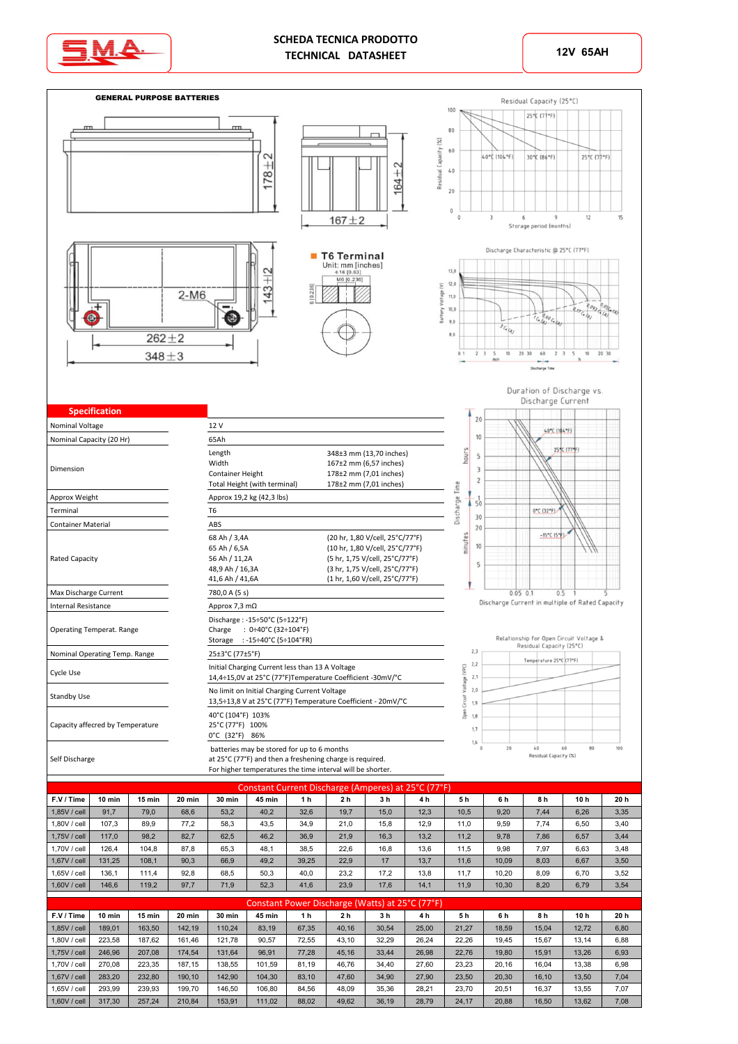



|              | Constant Current Discharge (Amperes) at 25 C (77 T) |        |        |        |               |       |                |      |      |      |       |      |                 |      |  |
|--------------|-----------------------------------------------------|--------|--------|--------|---------------|-------|----------------|------|------|------|-------|------|-----------------|------|--|
| F.V / Time   | 10 min                                              | 15 min | 20 min | 30 min | <b>45 min</b> | 1 h   | 2 <sub>h</sub> | 3 h  | 4h   | 5 h  | 6 h   | 8 h  | 10 <sub>h</sub> | 20h  |  |
| 1,85V / cell | 91.7                                                | 79.0   | 68.6   | 53.2   | 40.2          | 32,6  | 19.7           | 15.0 | 12,3 | 10.5 | 9,20  | 7,44 | 6,26            | 3,35 |  |
| 1,80V / cell | 107.3                                               | 89.9   | 77.2   | 58.3   | 43.5          | 34.9  | 21.0           | 15.8 | 12.9 | 11.0 | 9,59  | 7.74 | 6,50            | 3,40 |  |
| 1,75V / cell | 117.0                                               | 98.2   | 82,7   | 62,5   | 46,2          | 36,9  | 21,9           | 16,3 | 13,2 | 11.2 | 9,78  | 7,86 | 6,57            | 3,44 |  |
| 1.70V / cell | 126.4                                               | 104.8  | 87.8   | 65.3   | 48.1          | 38.5  | 22.6           | 16.8 | 13,6 | 11.5 | 9,98  | 7.97 | 6,63            | 3,48 |  |
| 1,67V / cell | 131.25                                              | 108.1  | 90,3   | 66.9   | 49,2          | 39,25 | 22,9           | 17   | 13,7 | 11.6 | 10,09 | 8,03 | 6,67            | 3,50 |  |
| 1.65V / cell | 136.1                                               | 111.4  | 92.8   | 68.5   | 50.3          | 40.0  | 23.2           | 17.2 | 13.8 | 11.7 | 10.20 | 8.09 | 6.70            | 3,52 |  |
| 1,60V / cell | 146.6                                               | 119.2  | 97.7   | 71.9   | 52,3          | 41.6  | 23,9           | 17.6 | 14,1 | 11.9 | 10,30 | 8,20 | 6,79            | 3,54 |  |

|              | Constant Power Discharge (Watts) at 25°C (77°F) |        |        |        |        |                |                |                |                |       |       |       |                 |      |  |
|--------------|-------------------------------------------------|--------|--------|--------|--------|----------------|----------------|----------------|----------------|-------|-------|-------|-----------------|------|--|
| F.V / Time   | 10 min                                          | 15 min | 20 min | 30 min | 45 min | 1 <sub>h</sub> | 2 <sub>h</sub> | 3 <sub>h</sub> | 4 <sub>h</sub> | 5h    | 6h    | 8h    | 10 <sub>h</sub> | 20 h |  |
| 1.85V / cell | 189.01                                          | 163,50 | 142.19 | 110.24 | 83.19  | 67.35          | 40.16          | 30.54          | 25,00          | 21.27 | 18.59 | 15.04 | 12,72           | 6,80 |  |
| 1.80V / cell | 223.58                                          | 187.62 | 161.46 | 121.78 | 90.57  | 72.55          | 43.10          | 32,29          | 26,24          | 22,26 | 19.45 | 15.67 | 13,14           | 6,88 |  |
| 1.75V / cell | 246.96                                          | 207.08 | 174.54 | 131.64 | 96.91  | 77.28          | 45.16          | 33,44          | 26,98          | 22.76 | 19.80 | 15.91 | 13,26           | 6,93 |  |
| 1.70V / cell | 270.08                                          | 223,35 | 187.15 | 138.55 | 101.59 | 81.19          | 46.76          | 34,40          | 27.60          | 23,23 | 20.16 | 16.04 | 13,38           | 6,98 |  |
| 1.67V / cell | 283.20                                          | 232.80 | 190.10 | 142.90 | 104.30 | 83.10          | 47.60          | 34,90          | 27.90          | 23.50 | 20.30 | 16.10 | 13,50           | 7,04 |  |
| 1.65V / cell | 293.99                                          | 239.93 | 199.70 | 146.50 | 106.80 | 84.56          | 48.09          | 35,36          | 28,21          | 23.70 | 20.51 | 16.37 | 13.55           | 7,07 |  |
| 1,60V / cell | 317.30                                          | 257,24 | 210.84 | 153.91 | 111,02 | 88,02          | 49,62          | 36,19          | 28,79          | 24,17 | 20,88 | 16,50 | 13,62           | 7,08 |  |